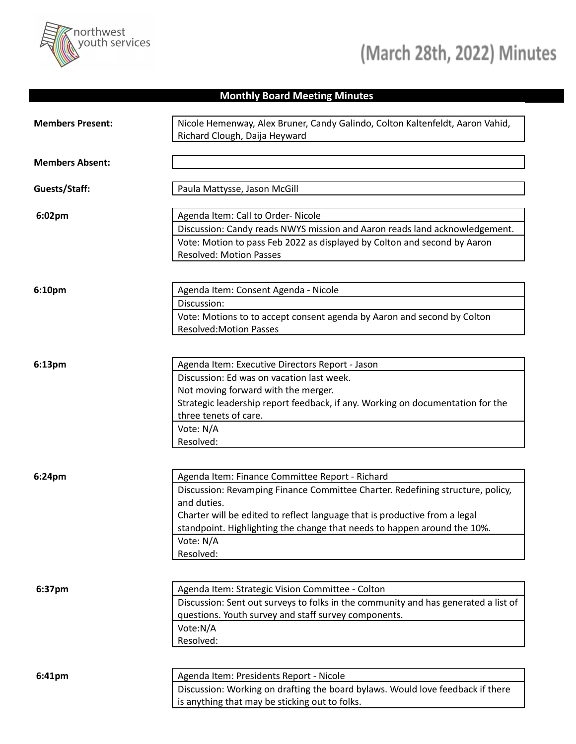

## **Monthly Board Meeting Minutes**

| <b>Members Present:</b> | Nicole Hemenway, Alex Bruner, Candy Galindo, Colton Kaltenfeldt, Aaron Vahid,<br>Richard Clough, Daija Heyward                                                                                                                                                                                                                       |
|-------------------------|--------------------------------------------------------------------------------------------------------------------------------------------------------------------------------------------------------------------------------------------------------------------------------------------------------------------------------------|
| <b>Members Absent:</b>  |                                                                                                                                                                                                                                                                                                                                      |
| Guests/Staff:           | Paula Mattysse, Jason McGill                                                                                                                                                                                                                                                                                                         |
| 6:02pm                  | Agenda Item: Call to Order- Nicole<br>Discussion: Candy reads NWYS mission and Aaron reads land acknowledgement.<br>Vote: Motion to pass Feb 2022 as displayed by Colton and second by Aaron<br><b>Resolved: Motion Passes</b>                                                                                                       |
| 6:10pm                  | Agenda Item: Consent Agenda - Nicole<br>Discussion:<br>Vote: Motions to to accept consent agenda by Aaron and second by Colton<br><b>Resolved:Motion Passes</b>                                                                                                                                                                      |
| 6:13pm                  | Agenda Item: Executive Directors Report - Jason<br>Discussion: Ed was on vacation last week.<br>Not moving forward with the merger.<br>Strategic leadership report feedback, if any. Working on documentation for the<br>three tenets of care.<br>Vote: N/A<br>Resolved:                                                             |
| 6:24pm                  | Agenda Item: Finance Committee Report - Richard<br>Discussion: Revamping Finance Committee Charter. Redefining structure, policy,<br>and duties.<br>Charter will be edited to reflect language that is productive from a legal<br>standpoint. Highlighting the change that needs to happen around the 10%.<br>Vote: N/A<br>Resolved: |
| 6:37pm                  | Agenda Item: Strategic Vision Committee - Colton<br>Discussion: Sent out surveys to folks in the community and has generated a list of<br>questions. Youth survey and staff survey components.<br>Vote:N/A<br>Resolved:                                                                                                              |
| 6:41pm                  | Agenda Item: Presidents Report - Nicole<br>Discussion: Working on drafting the board bylaws. Would love feedback if there<br>is anything that may be sticking out to folks.                                                                                                                                                          |